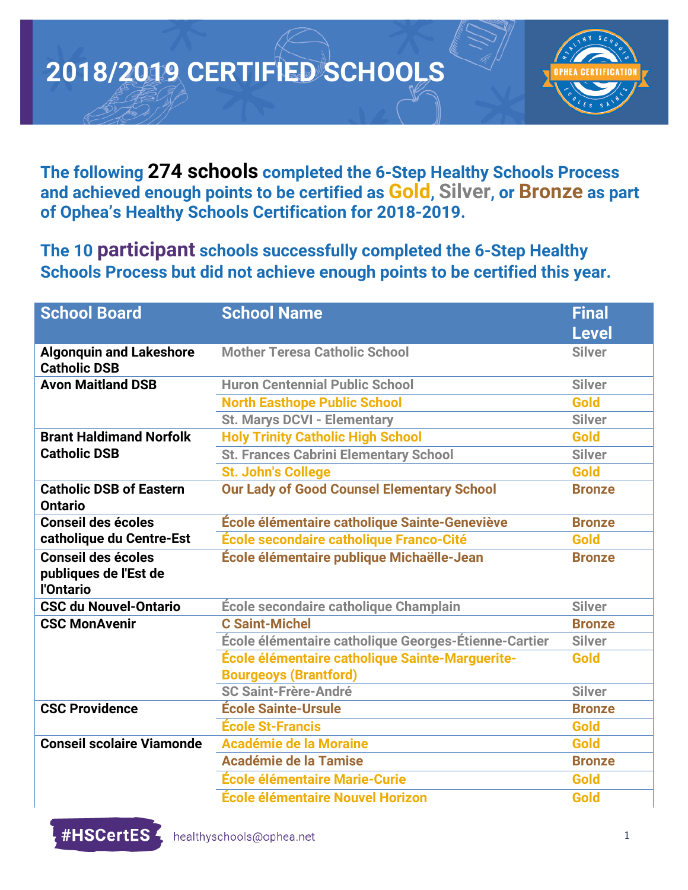

**The following 274 schools completed the 6-Step Healthy Schools Process and achieved enough points to be certified as Gold, Silver, or Bronze as part of Ophea's Healthy Schools Certification for 2018-2019.**

**The 10 participant schools successfully completed the 6-Step Healthy Schools Process but did not achieve enough points to be certified this year.**

| <b>School Board</b>                                                    | <b>School Name</b>                                   | <b>Final</b>  |
|------------------------------------------------------------------------|------------------------------------------------------|---------------|
|                                                                        |                                                      | <b>Level</b>  |
| <b>Algonquin and Lakeshore</b><br><b>Catholic DSB</b>                  | <b>Mother Teresa Catholic School</b>                 | <b>Silver</b> |
| <b>Avon Maitland DSB</b>                                               | <b>Huron Centennial Public School</b>                | <b>Silver</b> |
|                                                                        | <b>North Easthope Public School</b>                  | Gold          |
|                                                                        | <b>St. Marys DCVI - Elementary</b>                   | <b>Silver</b> |
| <b>Brant Haldimand Norfolk</b>                                         | <b>Holy Trinity Catholic High School</b>             | Gold          |
| <b>Catholic DSB</b>                                                    | <b>St. Frances Cabrini Elementary School</b>         | <b>Silver</b> |
|                                                                        | <b>St. John's College</b>                            | Gold          |
| <b>Catholic DSB of Eastern</b><br><b>Ontario</b>                       | <b>Our Lady of Good Counsel Elementary School</b>    | <b>Bronze</b> |
| <b>Conseil des écoles</b>                                              | École élémentaire catholique Sainte-Geneviève        | <b>Bronze</b> |
| catholique du Centre-Est                                               | École secondaire catholique Franco-Cité              | Gold          |
| <b>Conseil des écoles</b><br>publiques de l'Est de<br><b>l'Ontario</b> | École élémentaire publique Michaëlle-Jean            | <b>Bronze</b> |
| <b>CSC du Nouvel-Ontario</b>                                           | École secondaire catholique Champlain                | <b>Silver</b> |
| <b>CSC MonAvenir</b>                                                   | <b>C Saint-Michel</b>                                | <b>Bronze</b> |
|                                                                        | École élémentaire catholique Georges-Étienne-Cartier | <b>Silver</b> |
|                                                                        | École élémentaire catholique Sainte-Marguerite-      | Gold          |
|                                                                        | <b>Bourgeoys (Brantford)</b>                         |               |
|                                                                        | <b>SC Saint-Frère-André</b>                          | <b>Silver</b> |
| <b>CSC Providence</b>                                                  | <b>École Sainte-Ursule</b>                           | <b>Bronze</b> |
|                                                                        | <b>École St-Francis</b>                              | Gold          |
| <b>Conseil scolaire Viamonde</b>                                       | <b>Académie de la Moraine</b>                        | Gold          |
|                                                                        | <b>Académie de la Tamise</b>                         | <b>Bronze</b> |
|                                                                        | <b>École élémentaire Marie-Curie</b>                 | Gold          |
|                                                                        | <b>École élémentaire Nouvel Horizon</b>              | Gold          |

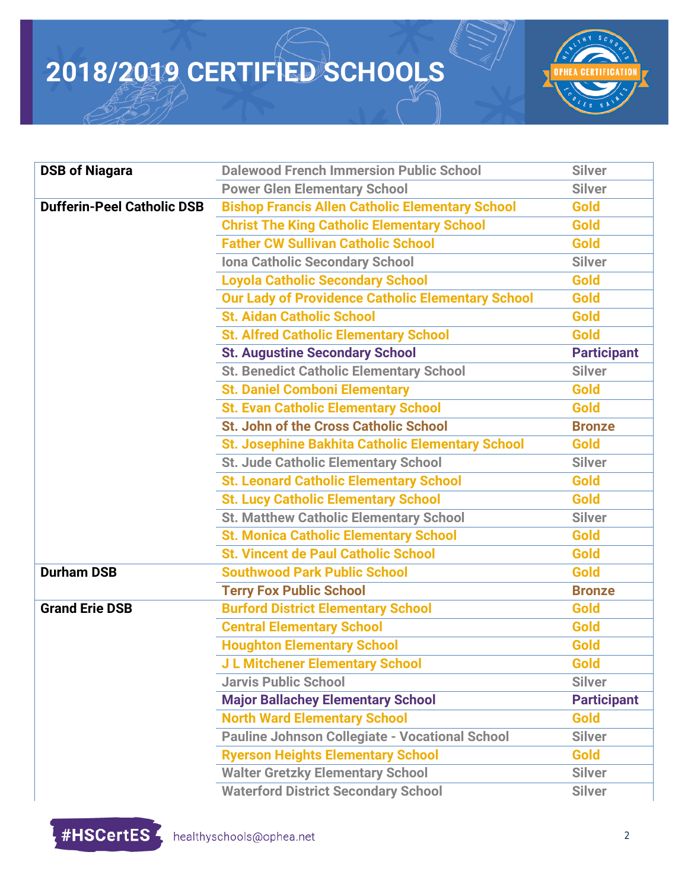

| <b>DSB of Niagara</b>             | <b>Dalewood French Immersion Public School</b>                          | <b>Silver</b>      |
|-----------------------------------|-------------------------------------------------------------------------|--------------------|
|                                   | <b>Power Glen Elementary School</b>                                     | <b>Silver</b>      |
| <b>Dufferin-Peel Catholic DSB</b> | <b>Bishop Francis Allen Catholic Elementary School</b>                  | <b>Gold</b>        |
|                                   | <b>Christ The King Catholic Elementary School</b>                       | <b>Gold</b>        |
|                                   | <b>Father CW Sullivan Catholic School</b>                               | <b>Gold</b>        |
|                                   | <b>Iona Catholic Secondary School</b>                                   | <b>Silver</b>      |
|                                   | <b>Loyola Catholic Secondary School</b>                                 | <b>Gold</b>        |
|                                   | <b>Our Lady of Providence Catholic Elementary School</b><br><b>Gold</b> |                    |
|                                   | <b>St. Aidan Catholic School</b>                                        | <b>Gold</b>        |
|                                   | <b>St. Alfred Catholic Elementary School</b>                            | <b>Gold</b>        |
|                                   | <b>St. Augustine Secondary School</b>                                   | <b>Participant</b> |
|                                   | <b>St. Benedict Catholic Elementary School</b>                          | <b>Silver</b>      |
|                                   | <b>St. Daniel Comboni Elementary</b>                                    | <b>Gold</b>        |
|                                   | <b>St. Evan Catholic Elementary School</b>                              | <b>Gold</b>        |
|                                   | <b>St. John of the Cross Catholic School</b>                            | <b>Bronze</b>      |
|                                   | <b>St. Josephine Bakhita Catholic Elementary School</b>                 | <b>Gold</b>        |
|                                   | <b>St. Jude Catholic Elementary School</b>                              | <b>Silver</b>      |
|                                   | <b>St. Leonard Catholic Elementary School</b>                           | <b>Gold</b>        |
|                                   | <b>St. Lucy Catholic Elementary School</b>                              | <b>Gold</b>        |
|                                   | <b>St. Matthew Catholic Elementary School</b><br><b>Silver</b>          |                    |
|                                   | <b>St. Monica Catholic Elementary School</b>                            | <b>Gold</b>        |
|                                   | <b>St. Vincent de Paul Catholic School</b>                              | <b>Gold</b>        |
| <b>Durham DSB</b>                 | <b>Southwood Park Public School</b>                                     | <b>Gold</b>        |
|                                   | <b>Terry Fox Public School</b>                                          | <b>Bronze</b>      |
| <b>Grand Erie DSB</b>             | <b>Burford District Elementary School</b>                               | <b>Gold</b>        |
|                                   | <b>Central Elementary School</b>                                        | Gold               |
|                                   | <b>Houghton Elementary School</b>                                       | <b>Gold</b>        |
|                                   | J L Mitchener Elementary School                                         | Gold               |
|                                   | <b>Jarvis Public School</b>                                             | <b>Silver</b>      |
|                                   | <b>Major Ballachey Elementary School</b>                                | <b>Participant</b> |
|                                   | <b>North Ward Elementary School</b>                                     | <b>Gold</b>        |
|                                   | <b>Pauline Johnson Collegiate - Vocational School</b>                   | <b>Silver</b>      |
|                                   | <b>Ryerson Heights Elementary School</b>                                | Gold               |
|                                   | <b>Walter Gretzky Elementary School</b>                                 | <b>Silver</b>      |
|                                   | <b>Waterford District Secondary School</b>                              | <b>Silver</b>      |

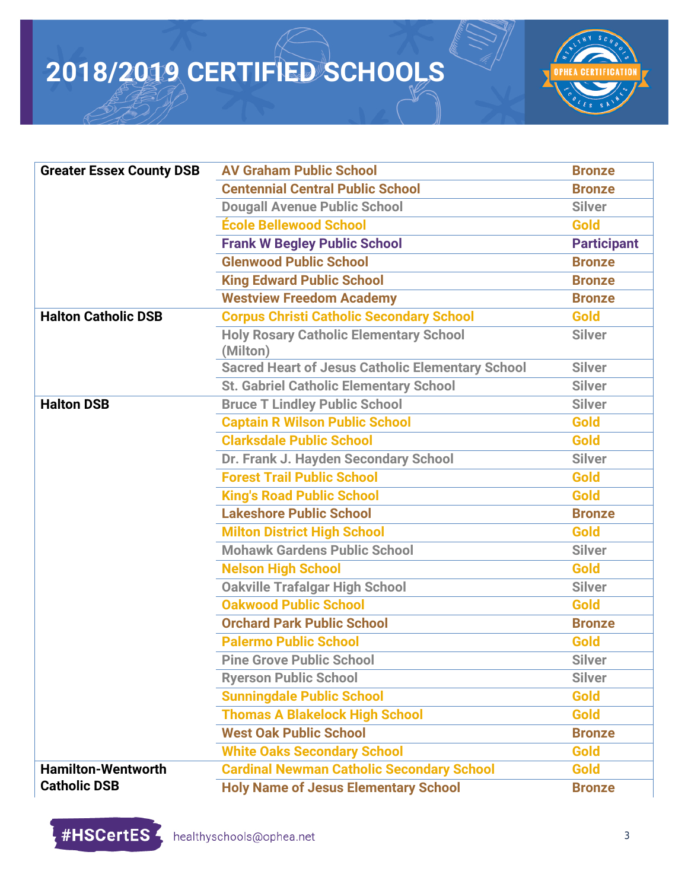

| <b>Greater Essex County DSB</b> | <b>AV Graham Public School</b>                            | <b>Bronze</b>      |
|---------------------------------|-----------------------------------------------------------|--------------------|
|                                 | <b>Centennial Central Public School</b>                   | <b>Bronze</b>      |
|                                 | <b>Dougall Avenue Public School</b>                       | <b>Silver</b>      |
|                                 | <b>École Bellewood School</b>                             | <b>Gold</b>        |
|                                 | <b>Frank W Begley Public School</b>                       | <b>Participant</b> |
|                                 | <b>Glenwood Public School</b>                             | <b>Bronze</b>      |
|                                 | <b>King Edward Public School</b>                          | <b>Bronze</b>      |
|                                 | <b>Westview Freedom Academy</b>                           | <b>Bronze</b>      |
| <b>Halton Catholic DSB</b>      | <b>Corpus Christi Catholic Secondary School</b>           | <b>Gold</b>        |
|                                 | <b>Holy Rosary Catholic Elementary School</b><br>(Milton) | <b>Silver</b>      |
|                                 | <b>Sacred Heart of Jesus Catholic Elementary School</b>   | <b>Silver</b>      |
|                                 | <b>St. Gabriel Catholic Elementary School</b>             | <b>Silver</b>      |
| <b>Halton DSB</b>               | <b>Bruce T Lindley Public School</b>                      | <b>Silver</b>      |
|                                 | <b>Captain R Wilson Public School</b>                     | <b>Gold</b>        |
|                                 | <b>Clarksdale Public School</b>                           | <b>Gold</b>        |
|                                 | Dr. Frank J. Hayden Secondary School                      | <b>Silver</b>      |
|                                 | <b>Forest Trail Public School</b>                         | <b>Gold</b>        |
|                                 | <b>King's Road Public School</b>                          | <b>Gold</b>        |
|                                 | <b>Lakeshore Public School</b>                            | <b>Bronze</b>      |
|                                 | <b>Milton District High School</b>                        | <b>Gold</b>        |
|                                 | <b>Mohawk Gardens Public School</b>                       | <b>Silver</b>      |
|                                 | <b>Nelson High School</b>                                 | <b>Gold</b>        |
|                                 | <b>Oakville Trafalgar High School</b>                     | <b>Silver</b>      |
|                                 | <b>Oakwood Public School</b>                              | <b>Gold</b>        |
|                                 | <b>Orchard Park Public School</b>                         | <b>Bronze</b>      |
|                                 | <b>Palermo Public School</b>                              | Gold               |
|                                 | <b>Pine Grove Public School</b>                           | <b>Silver</b>      |
|                                 | <b>Ryerson Public School</b>                              | <b>Silver</b>      |
|                                 | <b>Sunningdale Public School</b>                          | <b>Gold</b>        |
|                                 | <b>Thomas A Blakelock High School</b>                     | Gold               |
|                                 | <b>West Oak Public School</b>                             | <b>Bronze</b>      |
|                                 | <b>White Oaks Secondary School</b>                        | <b>Gold</b>        |
| <b>Hamilton-Wentworth</b>       | <b>Cardinal Newman Catholic Secondary School</b>          | Gold               |
| <b>Catholic DSB</b>             | <b>Holy Name of Jesus Elementary School</b>               | <b>Bronze</b>      |

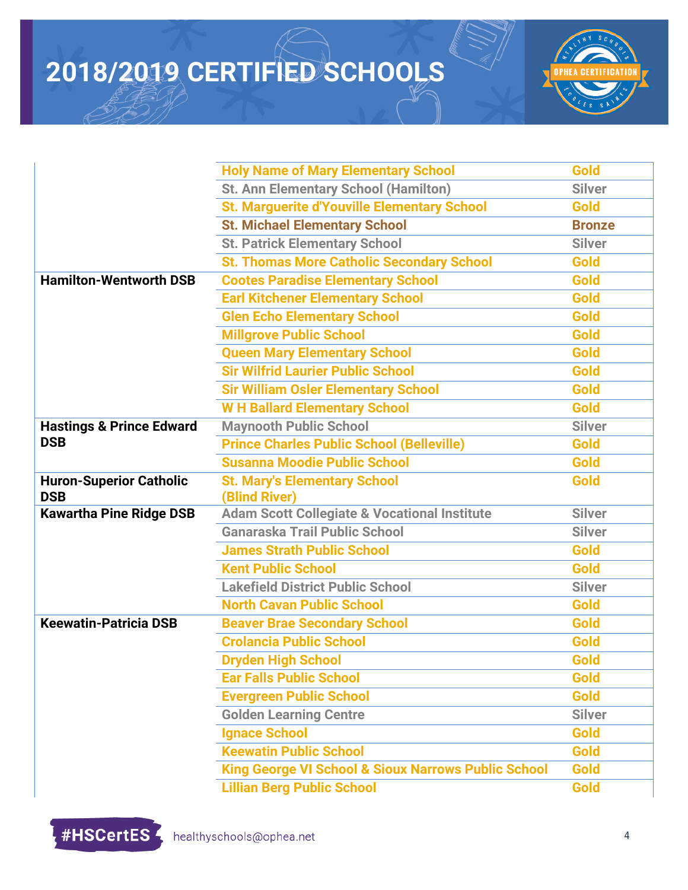

|                                              | <b>Holy Name of Mary Elementary School</b>              | <b>Gold</b>   |
|----------------------------------------------|---------------------------------------------------------|---------------|
|                                              | <b>St. Ann Elementary School (Hamilton)</b>             | <b>Silver</b> |
|                                              | <b>St. Marguerite d'Youville Elementary School</b>      | <b>Gold</b>   |
|                                              | <b>St. Michael Elementary School</b>                    | <b>Bronze</b> |
|                                              | <b>St. Patrick Elementary School</b>                    | <b>Silver</b> |
|                                              | <b>St. Thomas More Catholic Secondary School</b>        | <b>Gold</b>   |
| <b>Hamilton-Wentworth DSB</b>                | <b>Cootes Paradise Elementary School</b>                | <b>Gold</b>   |
|                                              | <b>Earl Kitchener Elementary School</b>                 | <b>Gold</b>   |
|                                              | <b>Glen Echo Elementary School</b>                      | Gold          |
|                                              | <b>Millgrove Public School</b>                          | <b>Gold</b>   |
|                                              | <b>Queen Mary Elementary School</b>                     | Gold          |
|                                              | <b>Sir Wilfrid Laurier Public School</b>                | Gold          |
|                                              | <b>Sir William Osler Elementary School</b>              | <b>Gold</b>   |
|                                              | <b>W H Ballard Elementary School</b>                    | <b>Gold</b>   |
| <b>Hastings &amp; Prince Edward</b>          | <b>Maynooth Public School</b>                           | <b>Silver</b> |
| <b>DSB</b>                                   | <b>Prince Charles Public School (Belleville)</b>        | <b>Gold</b>   |
|                                              | <b>Susanna Moodie Public School</b>                     | <b>Gold</b>   |
| <b>Huron-Superior Catholic</b><br><b>DSB</b> | <b>St. Mary's Elementary School</b><br>(Blind River)    | <b>Gold</b>   |
| <b>Kawartha Pine Ridge DSB</b>               | <b>Adam Scott Collegiate &amp; Vocational Institute</b> | <b>Silver</b> |
|                                              | <b>Ganaraska Trail Public School</b>                    | <b>Silver</b> |
|                                              | <b>James Strath Public School</b>                       | <b>Gold</b>   |
|                                              | <b>Kent Public School</b>                               | <b>Gold</b>   |
|                                              |                                                         |               |
|                                              | <b>Lakefield District Public School</b>                 | <b>Silver</b> |
|                                              | <b>North Cavan Public School</b>                        | <b>Gold</b>   |
| <b>Keewatin-Patricia DSB</b>                 | <b>Beaver Brae Secondary School</b>                     | <b>Gold</b>   |
|                                              | <b>Crolancia Public School</b>                          | Gold          |
|                                              | <b>Dryden High School</b>                               | Gold          |
|                                              | <b>Ear Falls Public School</b>                          | Gold          |
|                                              | <b>Evergreen Public School</b>                          | <b>Gold</b>   |
|                                              | <b>Golden Learning Centre</b>                           | <b>Silver</b> |
|                                              | <b>Ignace School</b>                                    | Gold          |
|                                              | <b>Keewatin Public School</b>                           | <b>Gold</b>   |
|                                              | King George VI School & Sioux Narrows Public School     | Gold          |

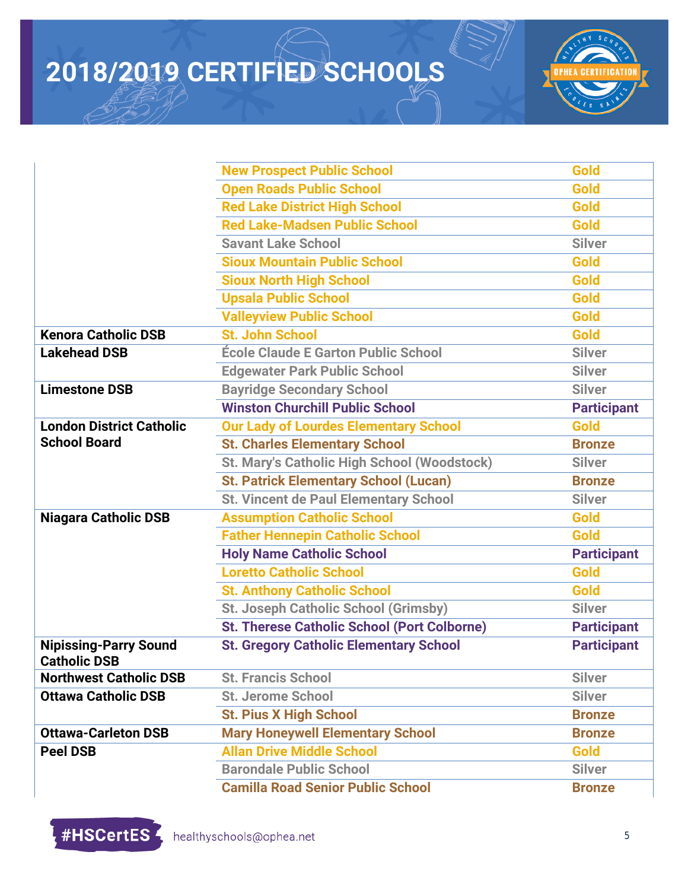

|                                                     | <b>New Prospect Public School</b>                  | <b>Gold</b>        |
|-----------------------------------------------------|----------------------------------------------------|--------------------|
|                                                     | <b>Open Roads Public School</b>                    | <b>Gold</b>        |
|                                                     | <b>Red Lake District High School</b>               | <b>Gold</b>        |
|                                                     | <b>Red Lake-Madsen Public School</b>               | <b>Gold</b>        |
|                                                     | <b>Savant Lake School</b>                          | <b>Silver</b>      |
|                                                     | <b>Sioux Mountain Public School</b>                | <b>Gold</b>        |
|                                                     | <b>Sioux North High School</b>                     | <b>Gold</b>        |
|                                                     | <b>Upsala Public School</b>                        | <b>Gold</b>        |
|                                                     | <b>Valleyview Public School</b>                    | <b>Gold</b>        |
| <b>Kenora Catholic DSB</b>                          | <b>St. John School</b>                             | <b>Gold</b>        |
| <b>Lakehead DSB</b>                                 | <b>École Claude E Garton Public School</b>         | <b>Silver</b>      |
|                                                     | <b>Edgewater Park Public School</b>                | <b>Silver</b>      |
| <b>Limestone DSB</b>                                | <b>Bayridge Secondary School</b>                   | <b>Silver</b>      |
|                                                     | <b>Winston Churchill Public School</b>             | <b>Participant</b> |
| <b>London District Catholic</b>                     | <b>Our Lady of Lourdes Elementary School</b>       | <b>Gold</b>        |
| <b>School Board</b>                                 | <b>St. Charles Elementary School</b>               | <b>Bronze</b>      |
|                                                     | St. Mary's Catholic High School (Woodstock)        | <b>Silver</b>      |
|                                                     | <b>St. Patrick Elementary School (Lucan)</b>       | <b>Bronze</b>      |
|                                                     | <b>St. Vincent de Paul Elementary School</b>       | <b>Silver</b>      |
| <b>Niagara Catholic DSB</b>                         | <b>Assumption Catholic School</b>                  | <b>Gold</b>        |
|                                                     | <b>Father Hennepin Catholic School</b>             | <b>Gold</b>        |
|                                                     | <b>Holy Name Catholic School</b>                   | <b>Participant</b> |
|                                                     | <b>Loretto Catholic School</b>                     | <b>Gold</b>        |
|                                                     | <b>St. Anthony Catholic School</b>                 | <b>Gold</b>        |
|                                                     | <b>St. Joseph Catholic School (Grimsby)</b>        | <b>Silver</b>      |
|                                                     | <b>St. Therese Catholic School (Port Colborne)</b> | <b>Participant</b> |
| <b>Nipissing-Parry Sound</b><br><b>Catholic DSB</b> | <b>St. Gregory Catholic Elementary School</b>      | <b>Participant</b> |
| <b>Northwest Catholic DSB</b>                       | <b>St. Francis School</b>                          | <b>Silver</b>      |
| <b>Ottawa Catholic DSB</b>                          | <b>St. Jerome School</b>                           | <b>Silver</b>      |
|                                                     | <b>St. Pius X High School</b>                      | <b>Bronze</b>      |
| <b>Ottawa-Carleton DSB</b>                          | <b>Mary Honeywell Elementary School</b>            | <b>Bronze</b>      |
| <b>Peel DSB</b>                                     | <b>Allan Drive Middle School</b>                   | Gold               |
|                                                     | <b>Barondale Public School</b>                     | <b>Silver</b>      |
|                                                     | <b>Camilla Road Senior Public School</b>           | <b>Bronze</b>      |

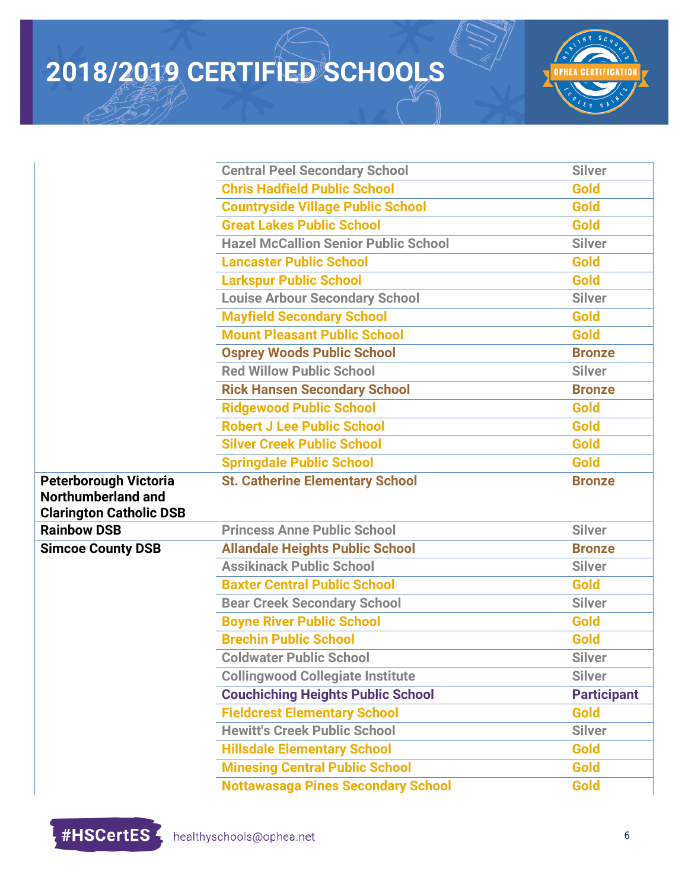

|                                                                                      | <b>Central Peel Secondary School</b>        | <b>Silver</b>      |
|--------------------------------------------------------------------------------------|---------------------------------------------|--------------------|
|                                                                                      | <b>Chris Hadfield Public School</b>         | <b>Gold</b>        |
|                                                                                      | <b>Countryside Village Public School</b>    | <b>Gold</b>        |
|                                                                                      | <b>Great Lakes Public School</b>            | Gold               |
|                                                                                      | <b>Hazel McCallion Senior Public School</b> | <b>Silver</b>      |
|                                                                                      | <b>Lancaster Public School</b>              | <b>Gold</b>        |
|                                                                                      | <b>Larkspur Public School</b>               | <b>Gold</b>        |
|                                                                                      | <b>Louise Arbour Secondary School</b>       | <b>Silver</b>      |
|                                                                                      | <b>Mayfield Secondary School</b>            | <b>Gold</b>        |
|                                                                                      | <b>Mount Pleasant Public School</b>         | <b>Gold</b>        |
|                                                                                      | <b>Osprey Woods Public School</b>           | <b>Bronze</b>      |
|                                                                                      | <b>Red Willow Public School</b>             | <b>Silver</b>      |
|                                                                                      | <b>Rick Hansen Secondary School</b>         | <b>Bronze</b>      |
|                                                                                      | <b>Ridgewood Public School</b>              | Gold               |
|                                                                                      | <b>Robert J Lee Public School</b>           | <b>Gold</b>        |
|                                                                                      | <b>Silver Creek Public School</b>           | <b>Gold</b>        |
|                                                                                      | <b>Springdale Public School</b>             | <b>Gold</b>        |
|                                                                                      |                                             |                    |
| Peterborough Victoria<br><b>Northumberland and</b><br><b>Clarington Catholic DSB</b> | <b>St. Catherine Elementary School</b>      | <b>Bronze</b>      |
| <b>Rainbow DSB</b>                                                                   | <b>Princess Anne Public School</b>          | <b>Silver</b>      |
| <b>Simcoe County DSB</b>                                                             | <b>Allandale Heights Public School</b>      | <b>Bronze</b>      |
|                                                                                      | <b>Assikinack Public School</b>             | <b>Silver</b>      |
|                                                                                      | <b>Baxter Central Public School</b>         | <b>Gold</b>        |
|                                                                                      | <b>Bear Creek Secondary School</b>          | <b>Silver</b>      |
|                                                                                      | <b>Boyne River Public School</b>            | Gold               |
|                                                                                      | <b>Brechin Public School</b>                | <b>Gold</b>        |
|                                                                                      | <b>Coldwater Public School</b>              | <b>Silver</b>      |
|                                                                                      | <b>Collingwood Collegiate Institute</b>     | <b>Silver</b>      |
|                                                                                      | <b>Couchiching Heights Public School</b>    | <b>Participant</b> |
|                                                                                      | <b>Fieldcrest Elementary School</b>         | Gold               |
|                                                                                      | <b>Hewitt's Creek Public School</b>         | <b>Silver</b>      |
|                                                                                      | <b>Hillsdale Elementary School</b>          | Gold               |
|                                                                                      | <b>Minesing Central Public School</b>       | <b>Gold</b>        |

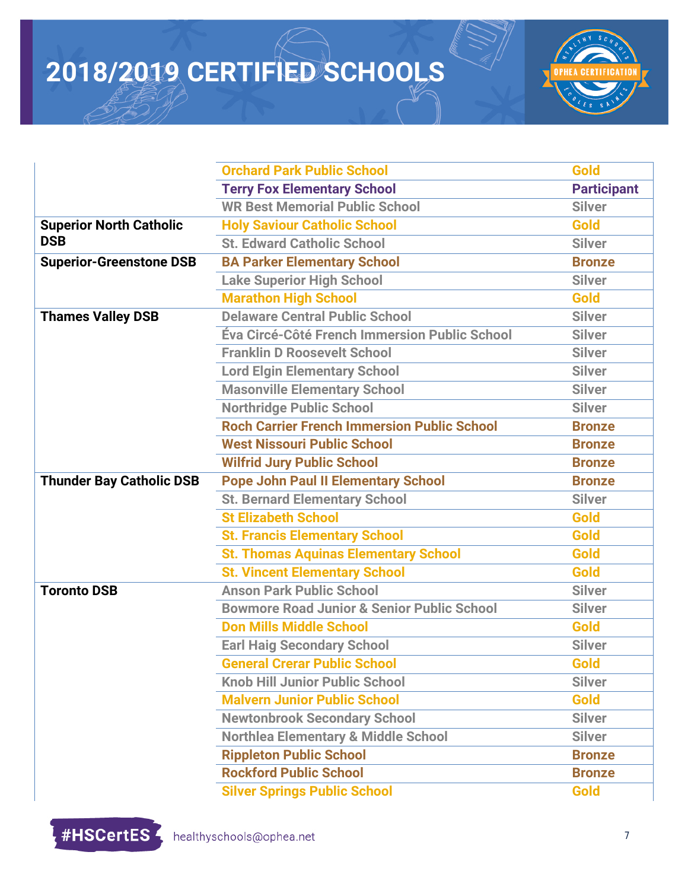

|                                 | <b>Orchard Park Public School</b>                     | Gold               |
|---------------------------------|-------------------------------------------------------|--------------------|
|                                 | <b>Terry Fox Elementary School</b>                    | <b>Participant</b> |
|                                 | <b>WR Best Memorial Public School</b>                 | <b>Silver</b>      |
| <b>Superior North Catholic</b>  | <b>Holy Saviour Catholic School</b>                   | <b>Gold</b>        |
| <b>DSB</b>                      | <b>St. Edward Catholic School</b>                     | <b>Silver</b>      |
| <b>Superior-Greenstone DSB</b>  | <b>BA Parker Elementary School</b>                    | <b>Bronze</b>      |
|                                 | <b>Lake Superior High School</b>                      | <b>Silver</b>      |
|                                 | <b>Marathon High School</b>                           | <b>Gold</b>        |
| <b>Thames Valley DSB</b>        | <b>Delaware Central Public School</b>                 | <b>Silver</b>      |
|                                 | Éva Circé-Côté French Immersion Public School         | <b>Silver</b>      |
|                                 | <b>Franklin D Roosevelt School</b>                    | <b>Silver</b>      |
|                                 | <b>Lord Elgin Elementary School</b>                   | <b>Silver</b>      |
|                                 | <b>Masonville Elementary School</b>                   | <b>Silver</b>      |
|                                 | <b>Northridge Public School</b>                       | <b>Silver</b>      |
|                                 | <b>Roch Carrier French Immersion Public School</b>    | <b>Bronze</b>      |
|                                 | <b>West Nissouri Public School</b>                    | <b>Bronze</b>      |
|                                 | <b>Wilfrid Jury Public School</b>                     | <b>Bronze</b>      |
| <b>Thunder Bay Catholic DSB</b> | <b>Pope John Paul II Elementary School</b>            | <b>Bronze</b>      |
|                                 | <b>St. Bernard Elementary School</b>                  | <b>Silver</b>      |
|                                 | <b>St Elizabeth School</b>                            | <b>Gold</b>        |
|                                 | <b>St. Francis Elementary School</b>                  | <b>Gold</b>        |
|                                 | <b>St. Thomas Aquinas Elementary School</b>           | <b>Gold</b>        |
|                                 | <b>St. Vincent Elementary School</b>                  | <b>Gold</b>        |
| <b>Toronto DSB</b>              | <b>Anson Park Public School</b>                       | <b>Silver</b>      |
|                                 | <b>Bowmore Road Junior &amp; Senior Public School</b> | <b>Silver</b>      |
|                                 | <b>Don Mills Middle School</b>                        | Gold               |
|                                 | <b>Earl Haig Secondary School</b>                     | <b>Silver</b>      |
|                                 | <b>General Crerar Public School</b>                   | Gold               |
|                                 | <b>Knob Hill Junior Public School</b>                 | <b>Silver</b>      |
|                                 | <b>Malvern Junior Public School</b>                   | <b>Gold</b>        |
|                                 | <b>Newtonbrook Secondary School</b>                   | <b>Silver</b>      |
|                                 | <b>Northlea Elementary &amp; Middle School</b>        | <b>Silver</b>      |
|                                 | <b>Rippleton Public School</b>                        | <b>Bronze</b>      |
|                                 | <b>Rockford Public School</b>                         | <b>Bronze</b>      |
|                                 | <b>Silver Springs Public School</b>                   | Gold               |

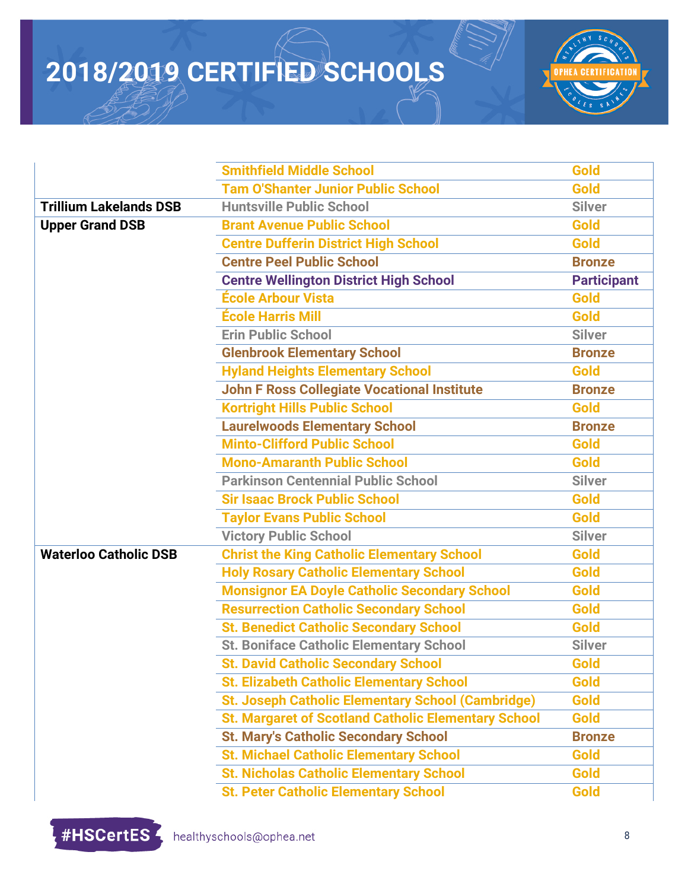

|                               | <b>Smithfield Middle School</b>                            | <b>Gold</b>        |
|-------------------------------|------------------------------------------------------------|--------------------|
|                               | <b>Tam O'Shanter Junior Public School</b>                  | <b>Gold</b>        |
| <b>Trillium Lakelands DSB</b> | <b>Huntsville Public School</b>                            | <b>Silver</b>      |
| <b>Upper Grand DSB</b>        | <b>Brant Avenue Public School</b>                          | <b>Gold</b>        |
|                               | <b>Centre Dufferin District High School</b>                | <b>Gold</b>        |
|                               | <b>Centre Peel Public School</b>                           | <b>Bronze</b>      |
|                               | <b>Centre Wellington District High School</b>              | <b>Participant</b> |
|                               | École Arbour Vista                                         | <b>Gold</b>        |
|                               | <b>École Harris Mill</b>                                   | <b>Gold</b>        |
|                               | <b>Erin Public School</b>                                  | <b>Silver</b>      |
|                               | <b>Glenbrook Elementary School</b>                         | <b>Bronze</b>      |
|                               | <b>Hyland Heights Elementary School</b>                    | <b>Gold</b>        |
|                               | <b>John F Ross Collegiate Vocational Institute</b>         | <b>Bronze</b>      |
|                               | <b>Kortright Hills Public School</b>                       | <b>Gold</b>        |
|                               | <b>Laurelwoods Elementary School</b>                       | <b>Bronze</b>      |
|                               | <b>Minto-Clifford Public School</b>                        | <b>Gold</b>        |
|                               | <b>Mono-Amaranth Public School</b>                         | <b>Gold</b>        |
|                               | <b>Parkinson Centennial Public School</b>                  | <b>Silver</b>      |
|                               | <b>Sir Isaac Brock Public School</b>                       | <b>Gold</b>        |
|                               | <b>Taylor Evans Public School</b>                          | <b>Gold</b>        |
|                               | <b>Victory Public School</b>                               | <b>Silver</b>      |
| <b>Waterloo Catholic DSB</b>  | <b>Christ the King Catholic Elementary School</b>          | <b>Gold</b>        |
|                               | <b>Holy Rosary Catholic Elementary School</b>              | <b>Gold</b>        |
|                               | <b>Monsignor EA Doyle Catholic Secondary School</b>        | <b>Gold</b>        |
|                               | <b>Resurrection Catholic Secondary School</b>              | <b>Gold</b>        |
|                               | <b>St. Benedict Catholic Secondary School</b>              | Gold               |
|                               | <b>St. Boniface Catholic Elementary School</b>             | <b>Silver</b>      |
|                               | <b>St. David Catholic Secondary School</b>                 | Gold               |
|                               | <b>St. Elizabeth Catholic Elementary School</b>            | Gold               |
|                               | <b>St. Joseph Catholic Elementary School (Cambridge)</b>   | Gold               |
|                               | <b>St. Margaret of Scotland Catholic Elementary School</b> | Gold               |
|                               | <b>St. Mary's Catholic Secondary School</b>                | <b>Bronze</b>      |
|                               | <b>St. Michael Catholic Elementary School</b>              | Gold               |
|                               | <b>St. Nicholas Catholic Elementary School</b>             | <b>Gold</b>        |
|                               | <b>St. Peter Catholic Elementary School</b>                | Gold               |

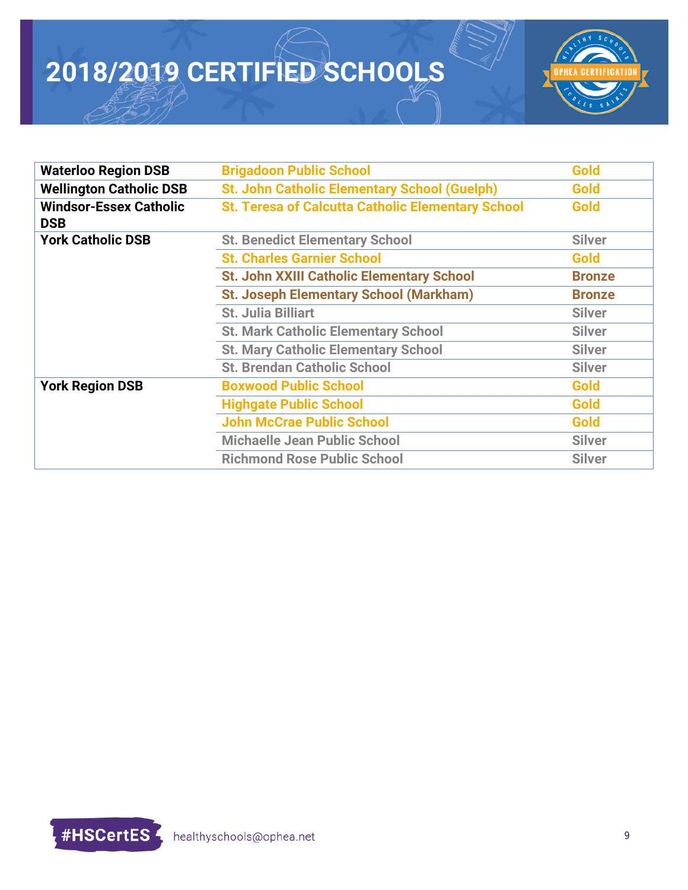

| <b>Waterloo Region DSB</b>                  | <b>Brigadoon Public School</b>                           | <b>Gold</b>   |
|---------------------------------------------|----------------------------------------------------------|---------------|
| <b>Wellington Catholic DSB</b>              | <b>St. John Catholic Elementary School (Guelph)</b>      | Gold          |
| <b>Windsor-Essex Catholic</b><br><b>DSB</b> | <b>St. Teresa of Calcutta Catholic Elementary School</b> | <b>Gold</b>   |
| <b>York Catholic DSB</b>                    | <b>St. Benedict Elementary School</b>                    | <b>Silver</b> |
|                                             | <b>St. Charles Garnier School</b>                        | <b>Gold</b>   |
|                                             | <b>St. John XXIII Catholic Elementary School</b>         | <b>Bronze</b> |
|                                             | <b>St. Joseph Elementary School (Markham)</b>            | <b>Bronze</b> |
|                                             | <b>St. Julia Billiart</b>                                | <b>Silver</b> |
|                                             | <b>St. Mark Catholic Elementary School</b>               | <b>Silver</b> |
|                                             | <b>St. Mary Catholic Elementary School</b>               | <b>Silver</b> |
|                                             | <b>St. Brendan Catholic School</b>                       | <b>Silver</b> |
| <b>York Region DSB</b>                      | <b>Boxwood Public School</b>                             | Gold          |
|                                             | <b>Highgate Public School</b>                            | Gold          |
|                                             | <b>John McCrae Public School</b>                         | Gold          |
|                                             | <b>Michaelle Jean Public School</b>                      | <b>Silver</b> |
|                                             | <b>Richmond Rose Public School</b>                       | <b>Silver</b> |